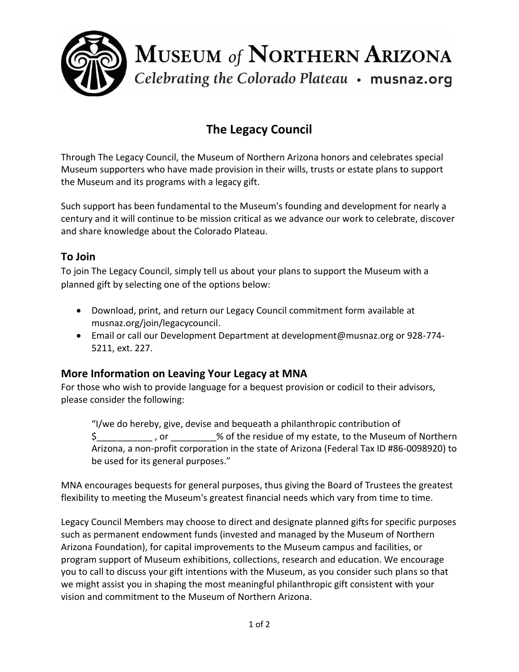

# **The Legacy Council**

Through The Legacy Council, the Museum of Northern Arizona honors and celebrates special Museum supporters who have made provision in their wills, trusts or estate plans to support the Museum and its programs with a legacy gift.

Such support has been fundamental to the Museum's founding and development for nearly a century and it will continue to be mission critical as we advance our work to celebrate, discover and share knowledge about the Colorado Plateau.

## **To Join**

To join The Legacy Council, simply tell us about your plans to support the Museum with a planned gift by selecting one of the options below:

- Download, print, and return our Legacy Council commitment form available at musnaz.org/join/legacycouncil.
- Email or call our Development Department at development@musnaz.org or 928-774- 5211, ext. 227.

### **More Information on Leaving Your Legacy at MNA**

For those who wish to provide language for a bequest provision or codicil to their advisors, please consider the following:

"I/we do hereby, give, devise and bequeath a philanthropic contribution of \$\_\_\_\_\_\_\_\_\_\_\_ , or \_\_\_\_\_\_\_\_\_% of the residue of my estate, to the Museum of Northern Arizona, a non-profit corporation in the state of Arizona (Federal Tax ID #86-0098920) to be used for its general purposes."

MNA encourages bequests for general purposes, thus giving the Board of Trustees the greatest flexibility to meeting the Museum's greatest financial needs which vary from time to time.

Legacy Council Members may choose to direct and designate planned gifts for specific purposes such as permanent endowment funds (invested and managed by the Museum of Northern Arizona Foundation), for capital improvements to the Museum campus and facilities, or program support of Museum exhibitions, collections, research and education. We encourage you to call to discuss your gift intentions with the Museum, as you consider such plans so that we might assist you in shaping the most meaningful philanthropic gift consistent with your vision and commitment to the Museum of Northern Arizona.